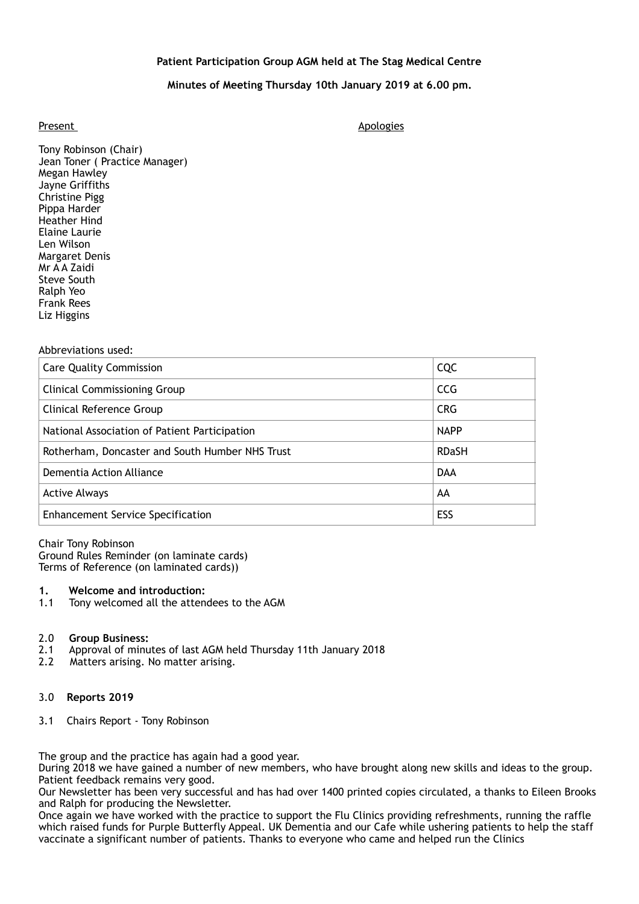# **Patient Participation Group AGM held at The Stag Medical Centre**

# **Minutes of Meeting Thursday 10th January 2019 at 6.00 pm.**

Present Apologies and Apologies and Apologies and Apologies and Apologies and Apologies and Apologies and Apologies and Apologies and Apologies and Apologies and Apologies and Apologies and Apologies and Apologies and Apol

Tony Robinson (Chair) Jean Toner ( Practice Manager) Megan Hawley Jayne Griffiths Christine Pigg Pippa Harder Heather Hind Elaine Laurie Len Wilson Margaret Denis Mr A A Zaidi Steve South Ralph Yeo Frank Rees Liz Higgins

#### Abbreviations used:

| <b>Care Quality Commission</b>                  | <b>CQC</b>   |
|-------------------------------------------------|--------------|
| <b>Clinical Commissioning Group</b>             | <b>CCG</b>   |
| Clinical Reference Group                        | <b>CRG</b>   |
| National Association of Patient Participation   | <b>NAPP</b>  |
| Rotherham, Doncaster and South Humber NHS Trust | <b>RDaSH</b> |
| Dementia Action Alliance                        | <b>DAA</b>   |
| <b>Active Always</b>                            | AA           |
| <b>Enhancement Service Specification</b>        | ESS          |

Chair Tony Robinson Ground Rules Reminder (on laminate cards) Terms of Reference (on laminated cards))

## **1. Welcome and introduction:**

1.1 Tony welcomed all the attendees to the AGM

#### 2.0 **Group Business:**

- 2.1 Approval of minutes of last AGM held Thursday 11th January 2018
- 2.2 Matters arising. No matter arising.

## 3.0 **Reports 2019**

3.1 Chairs Report - Tony Robinson

The group and the practice has again had a good year.

During 2018 we have gained a number of new members, who have brought along new skills and ideas to the group. Patient feedback remains very good.

Our Newsletter has been very successful and has had over 1400 printed copies circulated, a thanks to Eileen Brooks and Ralph for producing the Newsletter.

Once again we have worked with the practice to support the Flu Clinics providing refreshments, running the raffle which raised funds for Purple Butterfly Appeal. UK Dementia and our Cafe while ushering patients to help the staff vaccinate a significant number of patients. Thanks to everyone who came and helped run the Clinics